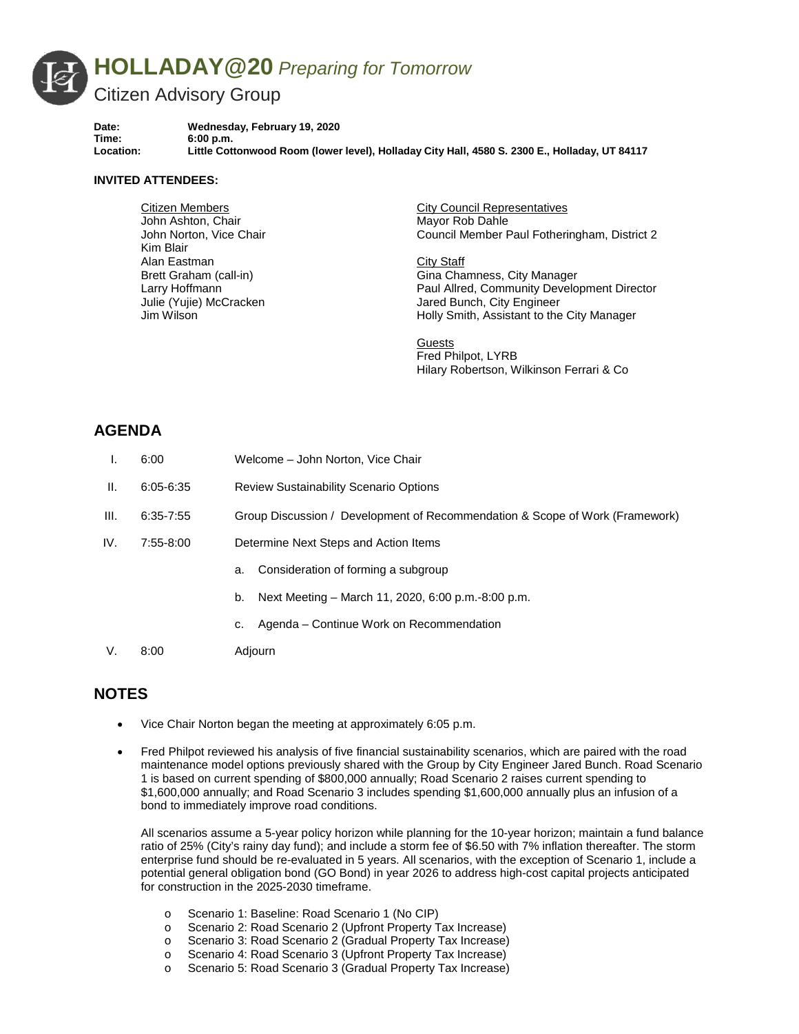

**Date: Wednesday, February 19, 2020 Time: 6:00 p.m. Location: Little Cottonwood Room (lower level), Holladay City Hall, 4580 S. 2300 E., Holladay, UT 84117**

## **INVITED ATTENDEES:**

Citizen Members John Ashton, Chair John Norton, Vice Chair Kim Blair Alan Eastman Brett Graham (call-in) Larry Hoffmann Julie (Yujie) McCracken Jim Wilson

City Council Representatives Mayor Rob Dahle Council Member Paul Fotheringham, District 2

City Staff Gina Chamness, City Manager Paul Allred, Community Development Director Jared Bunch, City Engineer Holly Smith, Assistant to the City Manager

**Guests** Fred Philpot, LYRB Hilary Robertson, Wilkinson Ferrari & Co

## **AGENDA**

I. 6:00 Welcome – John Norton, Vice Chair II. 6:05-6:35 Review Sustainability Scenario Options III. 6:35-7:55 Group Discussion / Development of Recommendation & Scope of Work (Framework) IV. 7:55-8:00 Determine Next Steps and Action Items a. Consideration of forming a subgroup b. Next Meeting – March 11, 2020, 6:00 p.m.-8:00 p.m. c. Agenda – Continue Work on Recommendation V. 8:00 Adjourn

## **NOTES**

- Vice Chair Norton began the meeting at approximately 6:05 p.m.
- Fred Philpot reviewed his analysis of five financial sustainability scenarios, which are paired with the road maintenance model options previously shared with the Group by City Engineer Jared Bunch. Road Scenario 1 is based on current spending of \$800,000 annually; Road Scenario 2 raises current spending to \$1,600,000 annually; and Road Scenario 3 includes spending \$1,600,000 annually plus an infusion of a bond to immediately improve road conditions.

All scenarios assume a 5-year policy horizon while planning for the 10-year horizon; maintain a fund balance ratio of 25% (City's rainy day fund); and include a storm fee of \$6.50 with 7% inflation thereafter. The storm enterprise fund should be re-evaluated in 5 years. All scenarios, with the exception of Scenario 1, include a potential general obligation bond (GO Bond) in year 2026 to address high-cost capital projects anticipated for construction in the 2025-2030 timeframe.

- o Scenario 1: Baseline: Road Scenario 1 (No CIP)
- o Scenario 2: Road Scenario 2 (Upfront Property Tax Increase)
- Scenario 3: Road Scenario 2 (Gradual Property Tax Increase)
- o Scenario 4: Road Scenario 3 (Upfront Property Tax Increase)<br>
o Scenario 5: Road Scenario 3 (Gradual Property Tax Increase)
- Scenario 5: Road Scenario 3 (Gradual Property Tax Increase)